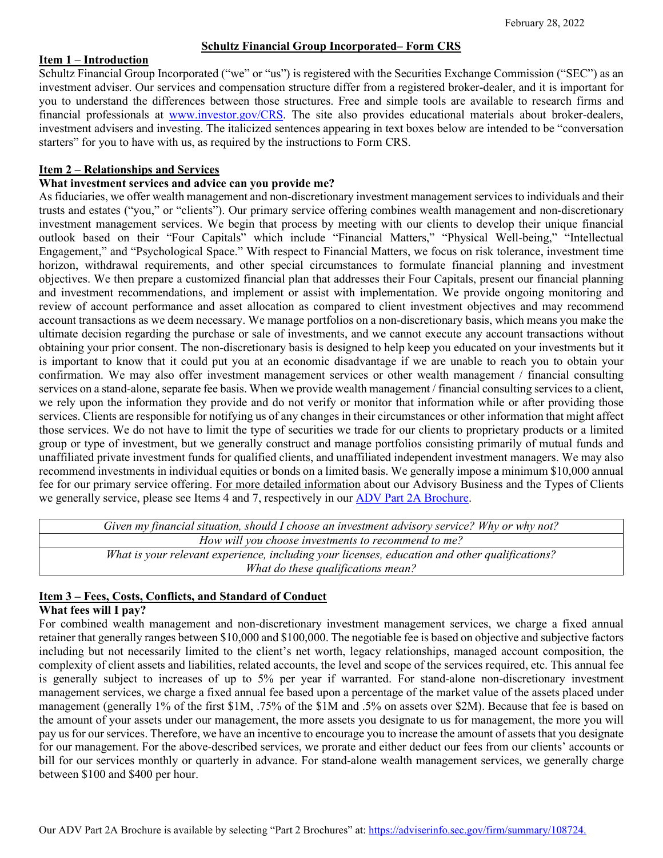# **Schultz Financial Group Incorporated– Form CRS**

#### **Item 1 – Introduction**

Schultz Financial Group Incorporated ("we" or "us") is registered with the Securities Exchange Commission ("SEC") as an investment adviser. Our services and compensation structure differ from a registered broker-dealer, and it is important for you to understand the differences between those structures. Free and simple tools are available to research firms and financial professionals at [www.investor.gov/CRS.](http://www.investor.gov/CRS) The site also provides educational materials about broker-dealers, investment advisers and investing. The italicized sentences appearing in text boxes below are intended to be "conversation starters" for you to have with us, as required by the instructions to Form CRS.

## **Item 2 – Relationships and Services**

### **What investment services and advice can you provide me?**

As fiduciaries, we offer wealth management and non-discretionary investment management services to individuals and their trusts and estates ("you," or "clients"). Our primary service offering combines wealth management and non-discretionary investment management services. We begin that process by meeting with our clients to develop their unique financial outlook based on their "Four Capitals" which include "Financial Matters," "Physical Well-being," "Intellectual Engagement," and "Psychological Space." With respect to Financial Matters, we focus on risk tolerance, investment time horizon, withdrawal requirements, and other special circumstances to formulate financial planning and investment objectives. We then prepare a customized financial plan that addresses their Four Capitals, present our financial planning and investment recommendations, and implement or assist with implementation. We provide ongoing monitoring and review of account performance and asset allocation as compared to client investment objectives and may recommend account transactions as we deem necessary. We manage portfolios on a non-discretionary basis, which means you make the ultimate decision regarding the purchase or sale of investments, and we cannot execute any account transactions without obtaining your prior consent. The non-discretionary basis is designed to help keep you educated on your investments but it is important to know that it could put you at an economic disadvantage if we are unable to reach you to obtain your confirmation. We may also offer investment management services or other wealth management / financial consulting services on a stand-alone, separate fee basis. When we provide wealth management / financial consulting services to a client, we rely upon the information they provide and do not verify or monitor that information while or after providing those services. Clients are responsible for notifying us of any changes in their circumstances or other information that might affect those services. We do not have to limit the type of securities we trade for our clients to proprietary products or a limited group or type of investment, but we generally construct and manage portfolios consisting primarily of mutual funds and unaffiliated private investment funds for qualified clients, and unaffiliated independent investment managers. We may also recommend investments in individual equities or bonds on a limited basis. We generally impose a minimum \$10,000 annual fee for our primary service offering. For more detailed information about our Advisory Business and the Types of Clients we generally service, please see Items 4 and 7, respectively in our **ADV Part 2A Brochure**.

| Given my financial situation, should I choose an investment advisory service? Why or why not?  |
|------------------------------------------------------------------------------------------------|
| How will you choose investments to recommend to me?                                            |
| What is your relevant experience, including your licenses, education and other qualifications? |
| What do these qualifications mean?                                                             |

#### **Item 3 – Fees, Costs, Conflicts, and Standard of Conduct What fees will I pay?**

For combined wealth management and non-discretionary investment management services, we charge a fixed annual retainer that generally ranges between \$10,000 and \$100,000. The negotiable fee is based on objective and subjective factors including but not necessarily limited to the client's net worth, legacy relationships, managed account composition, the complexity of client assets and liabilities, related accounts, the level and scope of the services required, etc. This annual fee is generally subject to increases of up to 5% per year if warranted. For stand-alone non-discretionary investment management services, we charge a fixed annual fee based upon a percentage of the market value of the assets placed under management (generally 1% of the first \$1M, .75% of the \$1M and .5% on assets over \$2M). Because that fee is based on the amount of your assets under our management, the more assets you designate to us for management, the more you will pay us for our services. Therefore, we have an incentive to encourage you to increase the amount of assets that you designate for our management. For the above-described services, we prorate and either deduct our fees from our clients' accounts or bill for our services monthly or quarterly in advance. For stand-alone wealth management services, we generally charge between \$100 and \$400 per hour.